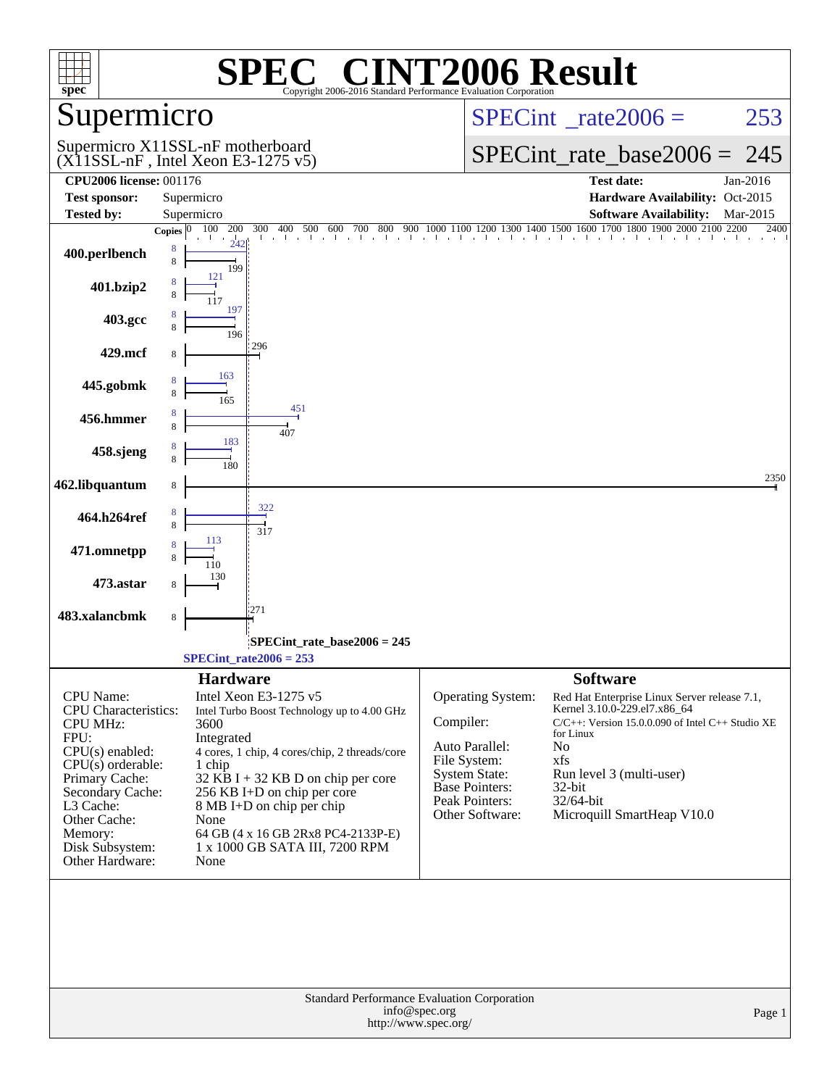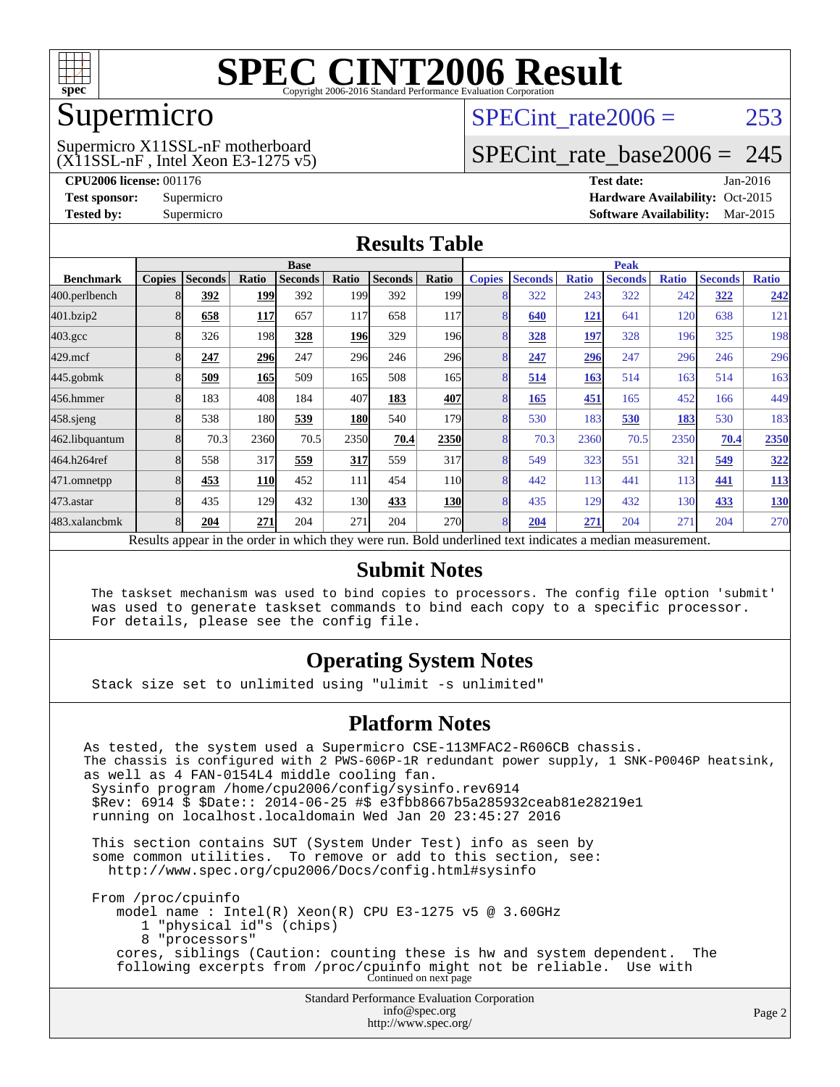

### Supermicro

#### (X11SSL-nF , Intel Xeon E3-1275 v5) Supermicro X11SSL-nF motherboard

SPECint rate $2006 = 253$ 

## [SPECint\\_rate\\_base2006 =](http://www.spec.org/auto/cpu2006/Docs/result-fields.html#SPECintratebase2006) 245

**[CPU2006 license:](http://www.spec.org/auto/cpu2006/Docs/result-fields.html#CPU2006license)** 001176 **[Test date:](http://www.spec.org/auto/cpu2006/Docs/result-fields.html#Testdate)** Jan-2016 **[Test sponsor:](http://www.spec.org/auto/cpu2006/Docs/result-fields.html#Testsponsor)** Supermicro Supermicro **[Hardware Availability:](http://www.spec.org/auto/cpu2006/Docs/result-fields.html#HardwareAvailability)** Oct-2015 **[Tested by:](http://www.spec.org/auto/cpu2006/Docs/result-fields.html#Testedby)** Supermicro **Supermicro [Software Availability:](http://www.spec.org/auto/cpu2006/Docs/result-fields.html#SoftwareAvailability)** Mar-2015

#### **[Results Table](http://www.spec.org/auto/cpu2006/Docs/result-fields.html#ResultsTable)**

|                                                                                                          | <b>Base</b>   |                |            |                |       |                |                  |               | <b>Peak</b>    |              |                |              |                |              |  |
|----------------------------------------------------------------------------------------------------------|---------------|----------------|------------|----------------|-------|----------------|------------------|---------------|----------------|--------------|----------------|--------------|----------------|--------------|--|
| <b>Benchmark</b>                                                                                         | <b>Copies</b> | <b>Seconds</b> | Ratio      | <b>Seconds</b> | Ratio | <b>Seconds</b> | Ratio            | <b>Copies</b> | <b>Seconds</b> | <b>Ratio</b> | <b>Seconds</b> | <b>Ratio</b> | <b>Seconds</b> | <b>Ratio</b> |  |
| 400.perlbench                                                                                            |               | 392            | 199        | 392            | 199   | 392            | 199 <sub>1</sub> | 8             | 322            | 243          | 322            | 242          | 322            | 242          |  |
| 401.bzip2                                                                                                | 8             | 658            | 117        | 657            | 117   | 658            | <b>117</b>       | 8             | 640            | 121          | 641            | 120          | 638            | 121          |  |
| $403.\mathrm{gcc}$                                                                                       |               | 326            | 198        | 328            | 196   | 329            | 196 <sub>l</sub> | 8             | 328            | 197          | 328            | 196          | 325            | 198          |  |
| $429$ .mcf                                                                                               |               | 247            | 296        | 247            | 296   | 246            | <b>296</b>       | 8             | 247            | 296          | 247            | 296          | 246            | 296          |  |
| $445$ .gobm $k$                                                                                          | 8             | 509            | 165        | 509            | 165   | 508            | 165              | 8             | 514            | 163          | 514            | 163          | 514            | 163          |  |
| 456.hmmer                                                                                                |               | 183            | 408        | 184            | 407   | 183            | 407              | 8             | 165            | 451          | 165            | 452          | 166            | 449          |  |
| $458$ .sjeng                                                                                             |               | 538            | 180        | 539            | 180   | 540            | 179 <sub>l</sub> | 8             | 530            | 183          | 530            | 183          | 530            | 183          |  |
| 462.libquantum                                                                                           |               | 70.3           | 2360       | 70.5           | 2350  | 70.4           | 2350             | 8             | 70.3           | 2360         | 70.5           | 2350         | 70.4           | 2350         |  |
| 464.h264ref                                                                                              |               | 558            | 317        | 559            | 317   | 559            | 317              | 8             | 549            | 323          | 551            | 321          | 549            | 322          |  |
| 471.omnetpp                                                                                              |               | 453            | <b>110</b> | 452            | 111   | 454            | <b>110</b>       | 8             | 442            | 113          | 441            | 113          | 441            | <u>113</u>   |  |
| 473.astar                                                                                                |               | 435            | 129        | 432            | 130   | 433            | <b>130</b>       | 8             | 435            | 129          | 432            | 130          | 433            | <u>130</u>   |  |
| 483.xalancbmk                                                                                            | $\mathsf{R}$  | 204            | 271        | 204            | 271   | 204            | 270l             | 8             | 204            | 271          | 204            | 271          | 204            | 270          |  |
| Results appear in the order in which they were run. Bold underlined text indicates a median measurement. |               |                |            |                |       |                |                  |               |                |              |                |              |                |              |  |

#### **[Submit Notes](http://www.spec.org/auto/cpu2006/Docs/result-fields.html#SubmitNotes)**

 The taskset mechanism was used to bind copies to processors. The config file option 'submit' was used to generate taskset commands to bind each copy to a specific processor. For details, please see the config file.

#### **[Operating System Notes](http://www.spec.org/auto/cpu2006/Docs/result-fields.html#OperatingSystemNotes)**

Stack size set to unlimited using "ulimit -s unlimited"

#### **[Platform Notes](http://www.spec.org/auto/cpu2006/Docs/result-fields.html#PlatformNotes)**

Standard Performance Evaluation Corporation [info@spec.org](mailto:info@spec.org) As tested, the system used a Supermicro CSE-113MFAC2-R606CB chassis. The chassis is configured with 2 PWS-606P-1R redundant power supply, 1 SNK-P0046P heatsink, as well as 4 FAN-0154L4 middle cooling fan. Sysinfo program /home/cpu2006/config/sysinfo.rev6914 \$Rev: 6914 \$ \$Date:: 2014-06-25 #\$ e3fbb8667b5a285932ceab81e28219e1 running on localhost.localdomain Wed Jan 20 23:45:27 2016 This section contains SUT (System Under Test) info as seen by some common utilities. To remove or add to this section, see: <http://www.spec.org/cpu2006/Docs/config.html#sysinfo> From /proc/cpuinfo model name : Intel(R) Xeon(R) CPU E3-1275 v5 @ 3.60GHz 1 "physical id"s (chips) 8 "processors" cores, siblings (Caution: counting these is hw and system dependent. The following excerpts from /proc/cpuinfo might not be reliable. Use with Continued on next page

<http://www.spec.org/>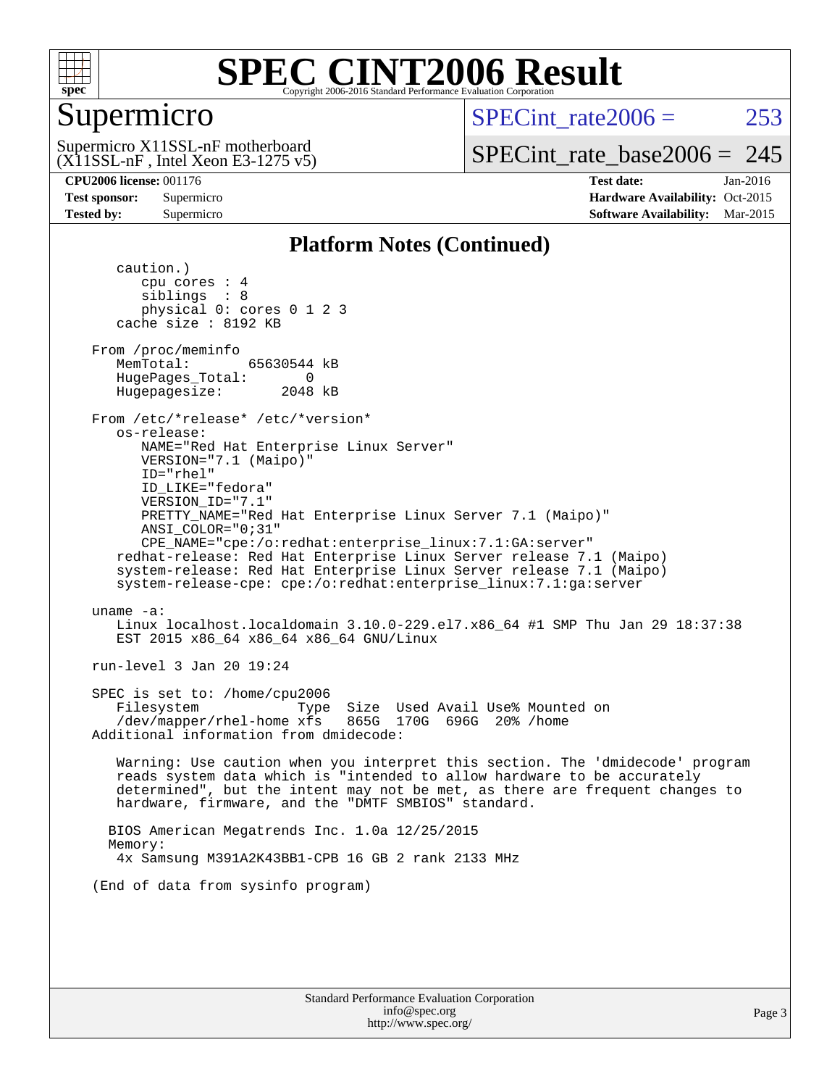

## Supermicro

SPECint rate $2006 = 253$ 

 $(X11SSL-nF,$  Intel Xeon E3-1275 v5) Supermicro X11SSL-nF motherboard

[SPECint\\_rate\\_base2006 =](http://www.spec.org/auto/cpu2006/Docs/result-fields.html#SPECintratebase2006) 245

**[CPU2006 license:](http://www.spec.org/auto/cpu2006/Docs/result-fields.html#CPU2006license)** 001176 **[Test date:](http://www.spec.org/auto/cpu2006/Docs/result-fields.html#Testdate)** Jan-2016 **[Test sponsor:](http://www.spec.org/auto/cpu2006/Docs/result-fields.html#Testsponsor)** Supermicro Supermicro **[Hardware Availability:](http://www.spec.org/auto/cpu2006/Docs/result-fields.html#HardwareAvailability)** Oct-2015 **[Tested by:](http://www.spec.org/auto/cpu2006/Docs/result-fields.html#Testedby)** Supermicro **Supermicro [Software Availability:](http://www.spec.org/auto/cpu2006/Docs/result-fields.html#SoftwareAvailability)** Mar-2015

#### **[Platform Notes \(Continued\)](http://www.spec.org/auto/cpu2006/Docs/result-fields.html#PlatformNotes)**

 caution.) cpu cores : 4 siblings : 8 physical 0: cores 0 1 2 3 cache size : 8192 KB From /proc/meminfo MemTotal: 65630544 kB HugePages\_Total: 0<br>Hugepagesize: 2048 kB Hugepagesize: From /etc/\*release\* /etc/\*version\* os-release: NAME="Red Hat Enterprise Linux Server" VERSION="7.1 (Maipo)" ID="rhel" ID\_LIKE="fedora" VERSION\_ID="7.1" PRETTY\_NAME="Red Hat Enterprise Linux Server 7.1 (Maipo)" ANSI\_COLOR="0;31" CPE\_NAME="cpe:/o:redhat:enterprise\_linux:7.1:GA:server" redhat-release: Red Hat Enterprise Linux Server release 7.1 (Maipo) system-release: Red Hat Enterprise Linux Server release 7.1 (Maipo) system-release-cpe: cpe:/o:redhat:enterprise\_linux:7.1:ga:server uname -a: Linux localhost.localdomain 3.10.0-229.el7.x86\_64 #1 SMP Thu Jan 29 18:37:38 EST 2015 x86\_64 x86\_64 x86\_64 GNU/Linux run-level 3 Jan 20 19:24 SPEC is set to: /home/cpu2006 Filesystem Type Size Used Avail Use% Mounted on  $/$ dev/mapper/rhel-home xfs Additional information from dmidecode: Warning: Use caution when you interpret this section. The 'dmidecode' program reads system data which is "intended to allow hardware to be accurately determined", but the intent may not be met, as there are frequent changes to hardware, firmware, and the "DMTF SMBIOS" standard. BIOS American Megatrends Inc. 1.0a 12/25/2015 Memory: 4x Samsung M391A2K43BB1-CPB 16 GB 2 rank 2133 MHz (End of data from sysinfo program)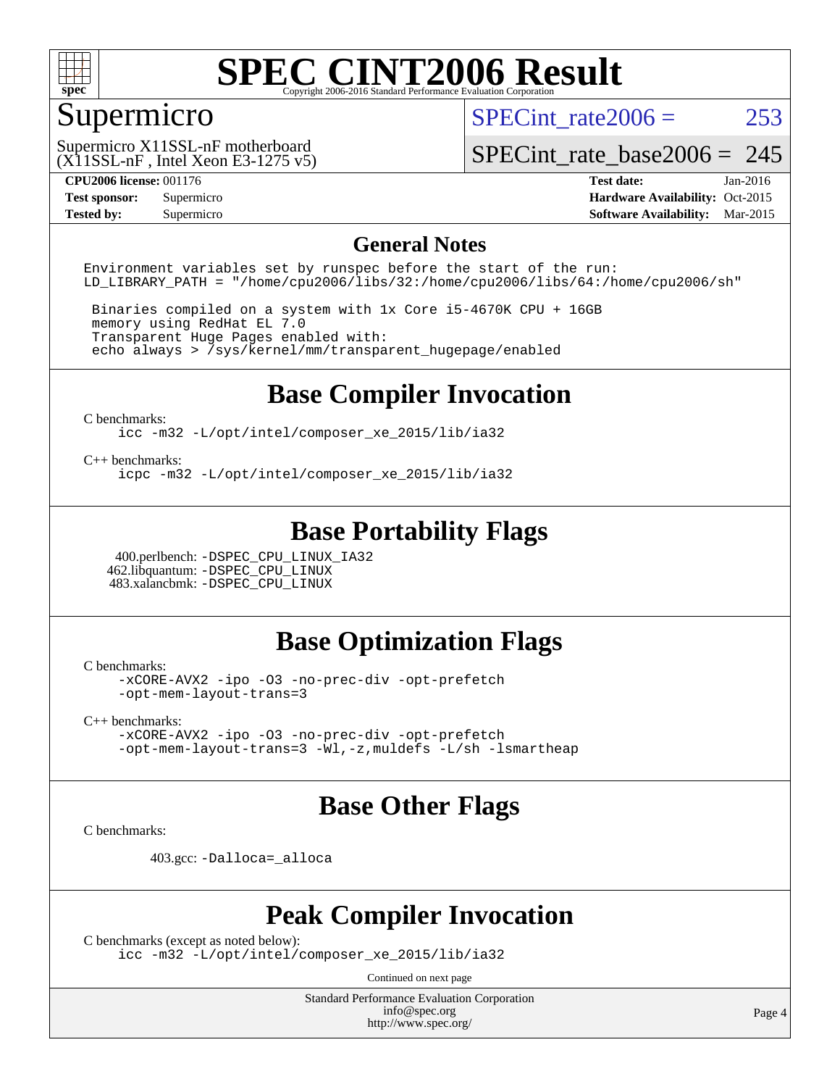

## Supermicro

SPECint rate $2006 = 253$ 

 $(X11SSL-nF$ , Intel Xeon E3-1275 v5) Supermicro X11SSL-nF motherboard

[SPECint\\_rate\\_base2006 =](http://www.spec.org/auto/cpu2006/Docs/result-fields.html#SPECintratebase2006) 245

**[CPU2006 license:](http://www.spec.org/auto/cpu2006/Docs/result-fields.html#CPU2006license)** 001176 **[Test date:](http://www.spec.org/auto/cpu2006/Docs/result-fields.html#Testdate)** Jan-2016 **[Test sponsor:](http://www.spec.org/auto/cpu2006/Docs/result-fields.html#Testsponsor)** Supermicro Supermicro **[Hardware Availability:](http://www.spec.org/auto/cpu2006/Docs/result-fields.html#HardwareAvailability)** Oct-2015 **[Tested by:](http://www.spec.org/auto/cpu2006/Docs/result-fields.html#Testedby)** Supermicro **Supermicro [Software Availability:](http://www.spec.org/auto/cpu2006/Docs/result-fields.html#SoftwareAvailability)** Mar-2015

#### **[General Notes](http://www.spec.org/auto/cpu2006/Docs/result-fields.html#GeneralNotes)**

Environment variables set by runspec before the start of the run: LD LIBRARY PATH = "/home/cpu2006/libs/32:/home/cpu2006/libs/64:/home/cpu2006/sh"

 Binaries compiled on a system with 1x Core i5-4670K CPU + 16GB memory using RedHat EL 7.0 Transparent Huge Pages enabled with: echo always > /sys/kernel/mm/transparent\_hugepage/enabled

### **[Base Compiler Invocation](http://www.spec.org/auto/cpu2006/Docs/result-fields.html#BaseCompilerInvocation)**

[C benchmarks](http://www.spec.org/auto/cpu2006/Docs/result-fields.html#Cbenchmarks):

[icc -m32 -L/opt/intel/composer\\_xe\\_2015/lib/ia32](http://www.spec.org/cpu2006/results/res2016q1/cpu2006-20160125-38771.flags.html#user_CCbase_intel_icc_011b86df29f8c679b747245588698a4d)

[C++ benchmarks:](http://www.spec.org/auto/cpu2006/Docs/result-fields.html#CXXbenchmarks)

[icpc -m32 -L/opt/intel/composer\\_xe\\_2015/lib/ia32](http://www.spec.org/cpu2006/results/res2016q1/cpu2006-20160125-38771.flags.html#user_CXXbase_intel_icpc_c2c99686a1a582c3e0de0b4806b02cea)

### **[Base Portability Flags](http://www.spec.org/auto/cpu2006/Docs/result-fields.html#BasePortabilityFlags)**

 400.perlbench: [-DSPEC\\_CPU\\_LINUX\\_IA32](http://www.spec.org/cpu2006/results/res2016q1/cpu2006-20160125-38771.flags.html#b400.perlbench_baseCPORTABILITY_DSPEC_CPU_LINUX_IA32) 462.libquantum: [-DSPEC\\_CPU\\_LINUX](http://www.spec.org/cpu2006/results/res2016q1/cpu2006-20160125-38771.flags.html#b462.libquantum_baseCPORTABILITY_DSPEC_CPU_LINUX) 483.xalancbmk: [-DSPEC\\_CPU\\_LINUX](http://www.spec.org/cpu2006/results/res2016q1/cpu2006-20160125-38771.flags.html#b483.xalancbmk_baseCXXPORTABILITY_DSPEC_CPU_LINUX)

#### **[Base Optimization Flags](http://www.spec.org/auto/cpu2006/Docs/result-fields.html#BaseOptimizationFlags)**

[C benchmarks](http://www.spec.org/auto/cpu2006/Docs/result-fields.html#Cbenchmarks):

[-xCORE-AVX2](http://www.spec.org/cpu2006/results/res2016q1/cpu2006-20160125-38771.flags.html#user_CCbase_f-xAVX2_5f5fc0cbe2c9f62c816d3e45806c70d7) [-ipo](http://www.spec.org/cpu2006/results/res2016q1/cpu2006-20160125-38771.flags.html#user_CCbase_f-ipo) [-O3](http://www.spec.org/cpu2006/results/res2016q1/cpu2006-20160125-38771.flags.html#user_CCbase_f-O3) [-no-prec-div](http://www.spec.org/cpu2006/results/res2016q1/cpu2006-20160125-38771.flags.html#user_CCbase_f-no-prec-div) [-opt-prefetch](http://www.spec.org/cpu2006/results/res2016q1/cpu2006-20160125-38771.flags.html#user_CCbase_f-opt-prefetch) [-opt-mem-layout-trans=3](http://www.spec.org/cpu2006/results/res2016q1/cpu2006-20160125-38771.flags.html#user_CCbase_f-opt-mem-layout-trans_a7b82ad4bd7abf52556d4961a2ae94d5)

[C++ benchmarks:](http://www.spec.org/auto/cpu2006/Docs/result-fields.html#CXXbenchmarks)

[-xCORE-AVX2](http://www.spec.org/cpu2006/results/res2016q1/cpu2006-20160125-38771.flags.html#user_CXXbase_f-xAVX2_5f5fc0cbe2c9f62c816d3e45806c70d7) [-ipo](http://www.spec.org/cpu2006/results/res2016q1/cpu2006-20160125-38771.flags.html#user_CXXbase_f-ipo) [-O3](http://www.spec.org/cpu2006/results/res2016q1/cpu2006-20160125-38771.flags.html#user_CXXbase_f-O3) [-no-prec-div](http://www.spec.org/cpu2006/results/res2016q1/cpu2006-20160125-38771.flags.html#user_CXXbase_f-no-prec-div) [-opt-prefetch](http://www.spec.org/cpu2006/results/res2016q1/cpu2006-20160125-38771.flags.html#user_CXXbase_f-opt-prefetch) [-opt-mem-layout-trans=3](http://www.spec.org/cpu2006/results/res2016q1/cpu2006-20160125-38771.flags.html#user_CXXbase_f-opt-mem-layout-trans_a7b82ad4bd7abf52556d4961a2ae94d5) [-Wl,-z,muldefs](http://www.spec.org/cpu2006/results/res2016q1/cpu2006-20160125-38771.flags.html#user_CXXbase_link_force_multiple1_74079c344b956b9658436fd1b6dd3a8a) [-L/sh -lsmartheap](http://www.spec.org/cpu2006/results/res2016q1/cpu2006-20160125-38771.flags.html#user_CXXbase_SmartHeap_32f6c82aa1ed9c52345d30cf6e4a0499)

### **[Base Other Flags](http://www.spec.org/auto/cpu2006/Docs/result-fields.html#BaseOtherFlags)**

[C benchmarks](http://www.spec.org/auto/cpu2006/Docs/result-fields.html#Cbenchmarks):

403.gcc: [-Dalloca=\\_alloca](http://www.spec.org/cpu2006/results/res2016q1/cpu2006-20160125-38771.flags.html#b403.gcc_baseEXTRA_CFLAGS_Dalloca_be3056838c12de2578596ca5467af7f3)

#### **[Peak Compiler Invocation](http://www.spec.org/auto/cpu2006/Docs/result-fields.html#PeakCompilerInvocation)**

[C benchmarks \(except as noted below\)](http://www.spec.org/auto/cpu2006/Docs/result-fields.html#Cbenchmarksexceptasnotedbelow):

[icc -m32 -L/opt/intel/composer\\_xe\\_2015/lib/ia32](http://www.spec.org/cpu2006/results/res2016q1/cpu2006-20160125-38771.flags.html#user_CCpeak_intel_icc_011b86df29f8c679b747245588698a4d)

Continued on next page

Standard Performance Evaluation Corporation [info@spec.org](mailto:info@spec.org) <http://www.spec.org/>

Page 4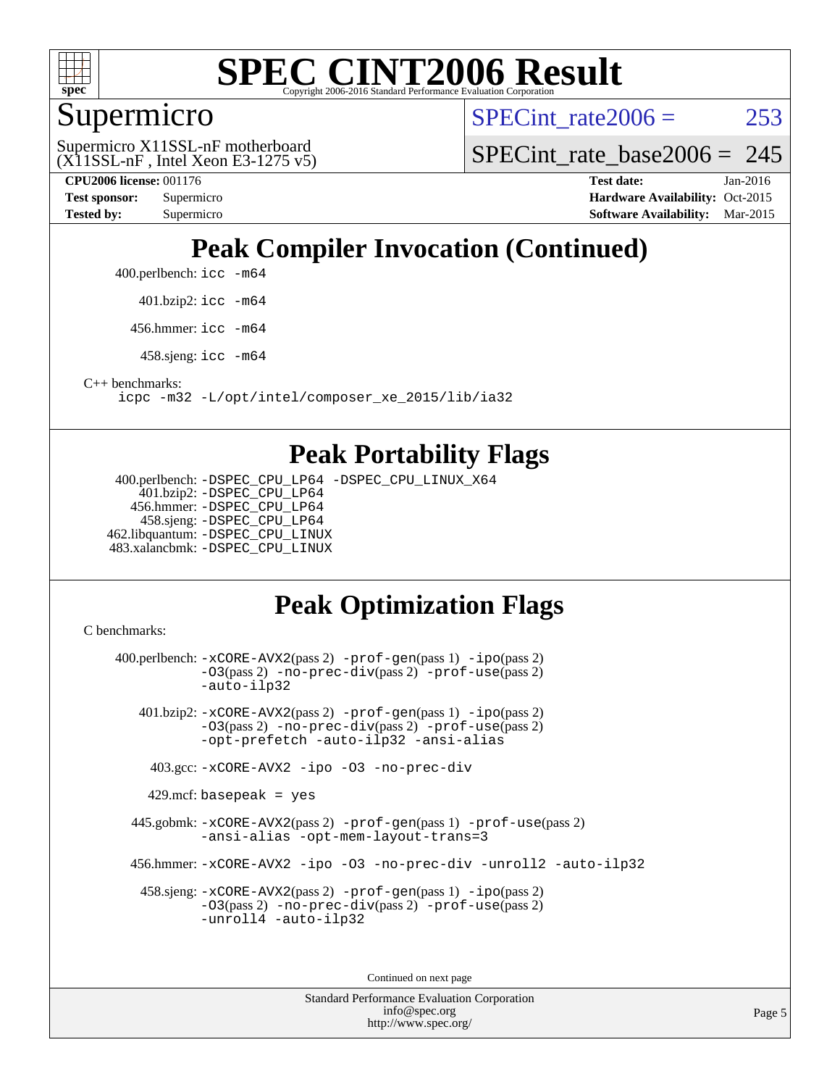

### Supermicro

SPECint rate $2006 = 253$ 

 $(X11SSL-nF,$  Intel Xeon E3-1275 v5) Supermicro X11SSL-nF motherboard

SPECint rate base2006 =  $245$ 

**[CPU2006 license:](http://www.spec.org/auto/cpu2006/Docs/result-fields.html#CPU2006license)** 001176 **[Test date:](http://www.spec.org/auto/cpu2006/Docs/result-fields.html#Testdate)** Jan-2016 **[Test sponsor:](http://www.spec.org/auto/cpu2006/Docs/result-fields.html#Testsponsor)** Supermicro Supermicro **[Hardware Availability:](http://www.spec.org/auto/cpu2006/Docs/result-fields.html#HardwareAvailability)** Oct-2015 **[Tested by:](http://www.spec.org/auto/cpu2006/Docs/result-fields.html#Testedby)** Supermicro **Supermicro [Software Availability:](http://www.spec.org/auto/cpu2006/Docs/result-fields.html#SoftwareAvailability)** Mar-2015

## **[Peak Compiler Invocation \(Continued\)](http://www.spec.org/auto/cpu2006/Docs/result-fields.html#PeakCompilerInvocation)**

400.perlbench: [icc -m64](http://www.spec.org/cpu2006/results/res2016q1/cpu2006-20160125-38771.flags.html#user_peakCCLD400_perlbench_intel_icc_64bit_bda6cc9af1fdbb0edc3795bac97ada53)

401.bzip2: [icc -m64](http://www.spec.org/cpu2006/results/res2016q1/cpu2006-20160125-38771.flags.html#user_peakCCLD401_bzip2_intel_icc_64bit_bda6cc9af1fdbb0edc3795bac97ada53)

456.hmmer: [icc -m64](http://www.spec.org/cpu2006/results/res2016q1/cpu2006-20160125-38771.flags.html#user_peakCCLD456_hmmer_intel_icc_64bit_bda6cc9af1fdbb0edc3795bac97ada53)

458.sjeng: [icc -m64](http://www.spec.org/cpu2006/results/res2016q1/cpu2006-20160125-38771.flags.html#user_peakCCLD458_sjeng_intel_icc_64bit_bda6cc9af1fdbb0edc3795bac97ada53)

[C++ benchmarks:](http://www.spec.org/auto/cpu2006/Docs/result-fields.html#CXXbenchmarks)

[icpc -m32 -L/opt/intel/composer\\_xe\\_2015/lib/ia32](http://www.spec.org/cpu2006/results/res2016q1/cpu2006-20160125-38771.flags.html#user_CXXpeak_intel_icpc_c2c99686a1a582c3e0de0b4806b02cea)

#### **[Peak Portability Flags](http://www.spec.org/auto/cpu2006/Docs/result-fields.html#PeakPortabilityFlags)**

 400.perlbench: [-DSPEC\\_CPU\\_LP64](http://www.spec.org/cpu2006/results/res2016q1/cpu2006-20160125-38771.flags.html#b400.perlbench_peakCPORTABILITY_DSPEC_CPU_LP64) [-DSPEC\\_CPU\\_LINUX\\_X64](http://www.spec.org/cpu2006/results/res2016q1/cpu2006-20160125-38771.flags.html#b400.perlbench_peakCPORTABILITY_DSPEC_CPU_LINUX_X64) 401.bzip2: [-DSPEC\\_CPU\\_LP64](http://www.spec.org/cpu2006/results/res2016q1/cpu2006-20160125-38771.flags.html#suite_peakCPORTABILITY401_bzip2_DSPEC_CPU_LP64) 456.hmmer: [-DSPEC\\_CPU\\_LP64](http://www.spec.org/cpu2006/results/res2016q1/cpu2006-20160125-38771.flags.html#suite_peakCPORTABILITY456_hmmer_DSPEC_CPU_LP64) 458.sjeng: [-DSPEC\\_CPU\\_LP64](http://www.spec.org/cpu2006/results/res2016q1/cpu2006-20160125-38771.flags.html#suite_peakCPORTABILITY458_sjeng_DSPEC_CPU_LP64) 462.libquantum: [-DSPEC\\_CPU\\_LINUX](http://www.spec.org/cpu2006/results/res2016q1/cpu2006-20160125-38771.flags.html#b462.libquantum_peakCPORTABILITY_DSPEC_CPU_LINUX) 483.xalancbmk: [-DSPEC\\_CPU\\_LINUX](http://www.spec.org/cpu2006/results/res2016q1/cpu2006-20160125-38771.flags.html#b483.xalancbmk_peakCXXPORTABILITY_DSPEC_CPU_LINUX)

## **[Peak Optimization Flags](http://www.spec.org/auto/cpu2006/Docs/result-fields.html#PeakOptimizationFlags)**

[C benchmarks](http://www.spec.org/auto/cpu2006/Docs/result-fields.html#Cbenchmarks):

 400.perlbench: [-xCORE-AVX2](http://www.spec.org/cpu2006/results/res2016q1/cpu2006-20160125-38771.flags.html#user_peakPASS2_CFLAGSPASS2_LDCFLAGS400_perlbench_f-xAVX2_5f5fc0cbe2c9f62c816d3e45806c70d7)(pass 2) [-prof-gen](http://www.spec.org/cpu2006/results/res2016q1/cpu2006-20160125-38771.flags.html#user_peakPASS1_CFLAGSPASS1_LDCFLAGS400_perlbench_prof_gen_e43856698f6ca7b7e442dfd80e94a8fc)(pass 1) [-ipo](http://www.spec.org/cpu2006/results/res2016q1/cpu2006-20160125-38771.flags.html#user_peakPASS2_CFLAGSPASS2_LDCFLAGS400_perlbench_f-ipo)(pass 2) [-O3](http://www.spec.org/cpu2006/results/res2016q1/cpu2006-20160125-38771.flags.html#user_peakPASS2_CFLAGSPASS2_LDCFLAGS400_perlbench_f-O3)(pass 2) [-no-prec-div](http://www.spec.org/cpu2006/results/res2016q1/cpu2006-20160125-38771.flags.html#user_peakPASS2_CFLAGSPASS2_LDCFLAGS400_perlbench_f-no-prec-div)(pass 2) [-prof-use](http://www.spec.org/cpu2006/results/res2016q1/cpu2006-20160125-38771.flags.html#user_peakPASS2_CFLAGSPASS2_LDCFLAGS400_perlbench_prof_use_bccf7792157ff70d64e32fe3e1250b55)(pass 2) [-auto-ilp32](http://www.spec.org/cpu2006/results/res2016q1/cpu2006-20160125-38771.flags.html#user_peakCOPTIMIZE400_perlbench_f-auto-ilp32) 401.bzip2: [-xCORE-AVX2](http://www.spec.org/cpu2006/results/res2016q1/cpu2006-20160125-38771.flags.html#user_peakPASS2_CFLAGSPASS2_LDCFLAGS401_bzip2_f-xAVX2_5f5fc0cbe2c9f62c816d3e45806c70d7)(pass 2) [-prof-gen](http://www.spec.org/cpu2006/results/res2016q1/cpu2006-20160125-38771.flags.html#user_peakPASS1_CFLAGSPASS1_LDCFLAGS401_bzip2_prof_gen_e43856698f6ca7b7e442dfd80e94a8fc)(pass 1) [-ipo](http://www.spec.org/cpu2006/results/res2016q1/cpu2006-20160125-38771.flags.html#user_peakPASS2_CFLAGSPASS2_LDCFLAGS401_bzip2_f-ipo)(pass 2) [-O3](http://www.spec.org/cpu2006/results/res2016q1/cpu2006-20160125-38771.flags.html#user_peakPASS2_CFLAGSPASS2_LDCFLAGS401_bzip2_f-O3)(pass 2) [-no-prec-div](http://www.spec.org/cpu2006/results/res2016q1/cpu2006-20160125-38771.flags.html#user_peakPASS2_CFLAGSPASS2_LDCFLAGS401_bzip2_f-no-prec-div)(pass 2) [-prof-use](http://www.spec.org/cpu2006/results/res2016q1/cpu2006-20160125-38771.flags.html#user_peakPASS2_CFLAGSPASS2_LDCFLAGS401_bzip2_prof_use_bccf7792157ff70d64e32fe3e1250b55)(pass 2) [-opt-prefetch](http://www.spec.org/cpu2006/results/res2016q1/cpu2006-20160125-38771.flags.html#user_peakCOPTIMIZE401_bzip2_f-opt-prefetch) [-auto-ilp32](http://www.spec.org/cpu2006/results/res2016q1/cpu2006-20160125-38771.flags.html#user_peakCOPTIMIZE401_bzip2_f-auto-ilp32) [-ansi-alias](http://www.spec.org/cpu2006/results/res2016q1/cpu2006-20160125-38771.flags.html#user_peakCOPTIMIZE401_bzip2_f-ansi-alias) 403.gcc: [-xCORE-AVX2](http://www.spec.org/cpu2006/results/res2016q1/cpu2006-20160125-38771.flags.html#user_peakCOPTIMIZE403_gcc_f-xAVX2_5f5fc0cbe2c9f62c816d3e45806c70d7) [-ipo](http://www.spec.org/cpu2006/results/res2016q1/cpu2006-20160125-38771.flags.html#user_peakCOPTIMIZE403_gcc_f-ipo) [-O3](http://www.spec.org/cpu2006/results/res2016q1/cpu2006-20160125-38771.flags.html#user_peakCOPTIMIZE403_gcc_f-O3) [-no-prec-div](http://www.spec.org/cpu2006/results/res2016q1/cpu2006-20160125-38771.flags.html#user_peakCOPTIMIZE403_gcc_f-no-prec-div)  $429$ .mcf: basepeak = yes 445.gobmk: [-xCORE-AVX2](http://www.spec.org/cpu2006/results/res2016q1/cpu2006-20160125-38771.flags.html#user_peakPASS2_CFLAGSPASS2_LDCFLAGS445_gobmk_f-xAVX2_5f5fc0cbe2c9f62c816d3e45806c70d7)(pass 2) [-prof-gen](http://www.spec.org/cpu2006/results/res2016q1/cpu2006-20160125-38771.flags.html#user_peakPASS1_CFLAGSPASS1_LDCFLAGS445_gobmk_prof_gen_e43856698f6ca7b7e442dfd80e94a8fc)(pass 1) [-prof-use](http://www.spec.org/cpu2006/results/res2016q1/cpu2006-20160125-38771.flags.html#user_peakPASS2_CFLAGSPASS2_LDCFLAGS445_gobmk_prof_use_bccf7792157ff70d64e32fe3e1250b55)(pass 2) [-ansi-alias](http://www.spec.org/cpu2006/results/res2016q1/cpu2006-20160125-38771.flags.html#user_peakCOPTIMIZE445_gobmk_f-ansi-alias) [-opt-mem-layout-trans=3](http://www.spec.org/cpu2006/results/res2016q1/cpu2006-20160125-38771.flags.html#user_peakCOPTIMIZE445_gobmk_f-opt-mem-layout-trans_a7b82ad4bd7abf52556d4961a2ae94d5) 456.hmmer: [-xCORE-AVX2](http://www.spec.org/cpu2006/results/res2016q1/cpu2006-20160125-38771.flags.html#user_peakCOPTIMIZE456_hmmer_f-xAVX2_5f5fc0cbe2c9f62c816d3e45806c70d7) [-ipo](http://www.spec.org/cpu2006/results/res2016q1/cpu2006-20160125-38771.flags.html#user_peakCOPTIMIZE456_hmmer_f-ipo) [-O3](http://www.spec.org/cpu2006/results/res2016q1/cpu2006-20160125-38771.flags.html#user_peakCOPTIMIZE456_hmmer_f-O3) [-no-prec-div](http://www.spec.org/cpu2006/results/res2016q1/cpu2006-20160125-38771.flags.html#user_peakCOPTIMIZE456_hmmer_f-no-prec-div) [-unroll2](http://www.spec.org/cpu2006/results/res2016q1/cpu2006-20160125-38771.flags.html#user_peakCOPTIMIZE456_hmmer_f-unroll_784dae83bebfb236979b41d2422d7ec2) [-auto-ilp32](http://www.spec.org/cpu2006/results/res2016q1/cpu2006-20160125-38771.flags.html#user_peakCOPTIMIZE456_hmmer_f-auto-ilp32) 458.sjeng: [-xCORE-AVX2](http://www.spec.org/cpu2006/results/res2016q1/cpu2006-20160125-38771.flags.html#user_peakPASS2_CFLAGSPASS2_LDCFLAGS458_sjeng_f-xAVX2_5f5fc0cbe2c9f62c816d3e45806c70d7)(pass 2) [-prof-gen](http://www.spec.org/cpu2006/results/res2016q1/cpu2006-20160125-38771.flags.html#user_peakPASS1_CFLAGSPASS1_LDCFLAGS458_sjeng_prof_gen_e43856698f6ca7b7e442dfd80e94a8fc)(pass 1) [-ipo](http://www.spec.org/cpu2006/results/res2016q1/cpu2006-20160125-38771.flags.html#user_peakPASS2_CFLAGSPASS2_LDCFLAGS458_sjeng_f-ipo)(pass 2) [-O3](http://www.spec.org/cpu2006/results/res2016q1/cpu2006-20160125-38771.flags.html#user_peakPASS2_CFLAGSPASS2_LDCFLAGS458_sjeng_f-O3)(pass 2) [-no-prec-div](http://www.spec.org/cpu2006/results/res2016q1/cpu2006-20160125-38771.flags.html#user_peakPASS2_CFLAGSPASS2_LDCFLAGS458_sjeng_f-no-prec-div)(pass 2) [-prof-use](http://www.spec.org/cpu2006/results/res2016q1/cpu2006-20160125-38771.flags.html#user_peakPASS2_CFLAGSPASS2_LDCFLAGS458_sjeng_prof_use_bccf7792157ff70d64e32fe3e1250b55)(pass 2) [-unroll4](http://www.spec.org/cpu2006/results/res2016q1/cpu2006-20160125-38771.flags.html#user_peakCOPTIMIZE458_sjeng_f-unroll_4e5e4ed65b7fd20bdcd365bec371b81f) [-auto-ilp32](http://www.spec.org/cpu2006/results/res2016q1/cpu2006-20160125-38771.flags.html#user_peakCOPTIMIZE458_sjeng_f-auto-ilp32)

Continued on next page